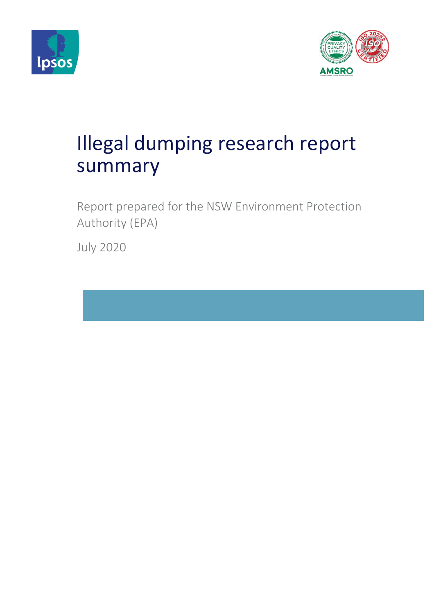



# Illegal dumping research report summary

Report prepared for the NSW Environment Protection Authority (EPA)

July 2020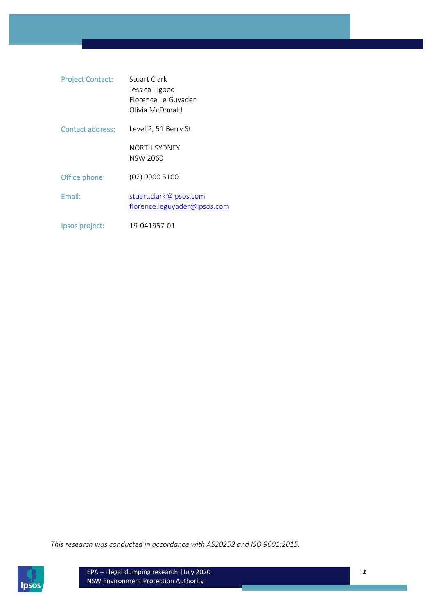| <b>Project Contact:</b> | Stuart Clark<br>Jessica Elgood<br>Florence Le Guyader<br>Olivia McDonald |
|-------------------------|--------------------------------------------------------------------------|
| Contact address:        | Level 2, 51 Berry St                                                     |
|                         | NORTH SYDNEY<br>NSW 2060                                                 |
| Office phone:           | (02) 9900 5100                                                           |
| Email:                  | stuart.clark@ipsos.com<br>florence.leguyader@ipsos.com                   |
| Ipsos project:          | 19-041957-01                                                             |

*This research was conducted in accordance with AS20252 and ISO 9001:2015.*

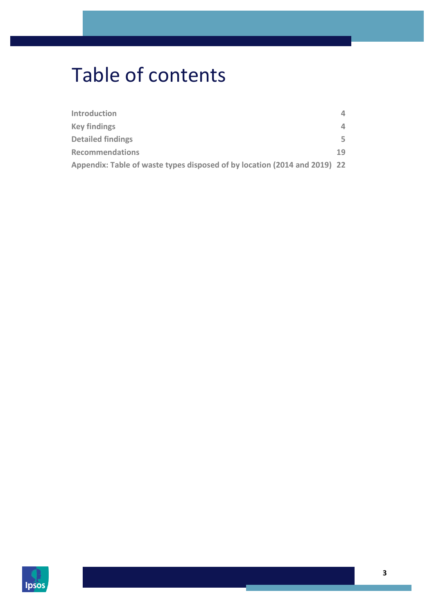# Table of contents

| Introduction                                                              | 4  |
|---------------------------------------------------------------------------|----|
| <b>Key findings</b>                                                       | 4  |
| <b>Detailed findings</b>                                                  | 5  |
| <b>Recommendations</b>                                                    | 19 |
| Appendix: Table of waste types disposed of by location (2014 and 2019) 22 |    |

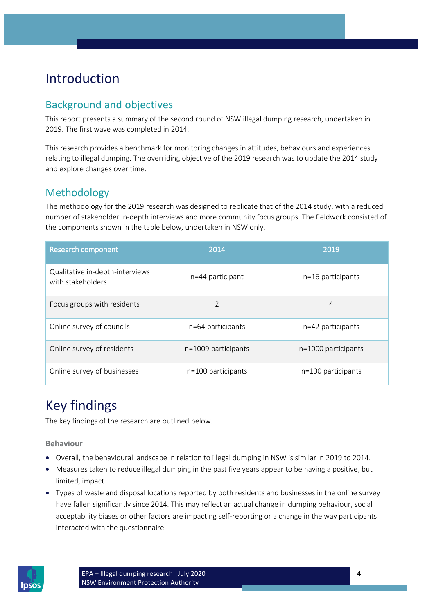# <span id="page-3-0"></span>Introduction

# Background and objectives

This report presents a summary of the second round of NSW illegal dumping research, undertaken in 2019. The first wave was completed in 2014.

This research provides a benchmark for monitoring changes in attitudes, behaviours and experiences relating to illegal dumping. The overriding objective of the 2019 research was to update the 2014 study and explore changes over time.

# Methodology

The methodology for the 2019 research was designed to replicate that of the 2014 study, with a reduced number of stakeholder in-depth interviews and more community focus groups. The fieldwork consisted of the components shown in the table below, undertaken in NSW only.

| <b>Research component</b>                            | 2014                  | 2019                  |  |  |  |  |  |
|------------------------------------------------------|-----------------------|-----------------------|--|--|--|--|--|
| Qualitative in-depth-interviews<br>with stakeholders | n=44 participant      | $n=16$ participants   |  |  |  |  |  |
| Focus groups with residents                          | $\mathfrak{D}$        | $\overline{4}$        |  |  |  |  |  |
| Online survey of councils                            | n=64 participants     | n=42 participants     |  |  |  |  |  |
| Online survey of residents                           | $n=1009$ participants | $n=1000$ participants |  |  |  |  |  |
| Online survey of businesses                          | n=100 participants    | $n=100$ participants  |  |  |  |  |  |

# <span id="page-3-1"></span>Key findings

The key findings of the research are outlined below.

**Behaviour**

- Overall, the behavioural landscape in relation to illegal dumping in NSW is similar in 2019 to 2014.
- Measures taken to reduce illegal dumping in the past five years appear to be having a positive, but limited, impact.
- Types of waste and disposal locations reported by both residents and businesses in the online survey have fallen significantly since 2014. This may reflect an actual change in dumping behaviour, social acceptability biases or other factors are impacting self-reporting or a change in the way participants interacted with the questionnaire.

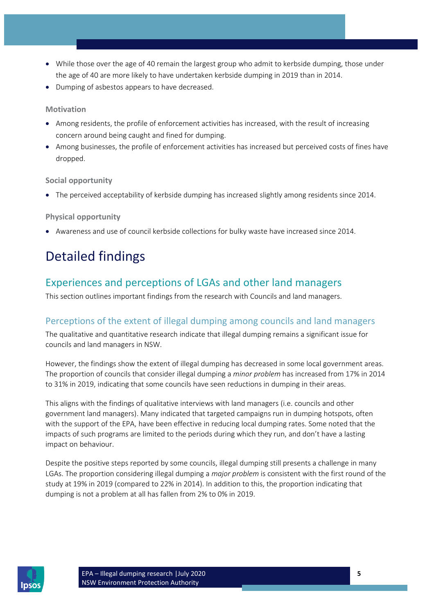- While those over the age of 40 remain the largest group who admit to kerbside dumping, those under the age of 40 are more likely to have undertaken kerbside dumping in 2019 than in 2014.
- Dumping of asbestos appears to have decreased.

# **Motivation**

- Among residents, the profile of enforcement activities has increased, with the result of increasing concern around being caught and fined for dumping.
- Among businesses, the profile of enforcement activities has increased but perceived costs of fines have dropped.

## **Social opportunity**

• The perceived acceptability of kerbside dumping has increased slightly among residents since 2014.

# **Physical opportunity**

• Awareness and use of council kerbside collections for bulky waste have increased since 2014.

# <span id="page-4-0"></span>Detailed findings

# Experiences and perceptions of LGAs and other land managers

This section outlines important findings from the research with Councils and land managers.

# Perceptions of the extent of illegal dumping among councils and land managers

The qualitative and quantitative research indicate that illegal dumping remains a significant issue for councils and land managers in NSW.

However, the findings show the extent of illegal dumping has decreased in some local government areas. The proportion of councils that consider illegal dumping a *minor problem* has increased from 17% in 2014 to 31% in 2019, indicating that some councils have seen reductions in dumping in their areas.

This aligns with the findings of qualitative interviews with land managers (i.e. councils and other government land managers). Many indicated that targeted campaigns run in dumping hotspots, often with the support of the EPA, have been effective in reducing local dumping rates. Some noted that the impacts of such programs are limited to the periods during which they run, and don't have a lasting impact on behaviour.

Despite the positive steps reported by some councils, illegal dumping still presents a challenge in many LGAs. The proportion considering illegal dumping a *major problem* is consistent with the first round of the study at 19% in 2019 (compared to 22% in 2014). In addition to this, the proportion indicating that dumping is not a problem at all has fallen from 2% to 0% in 2019.

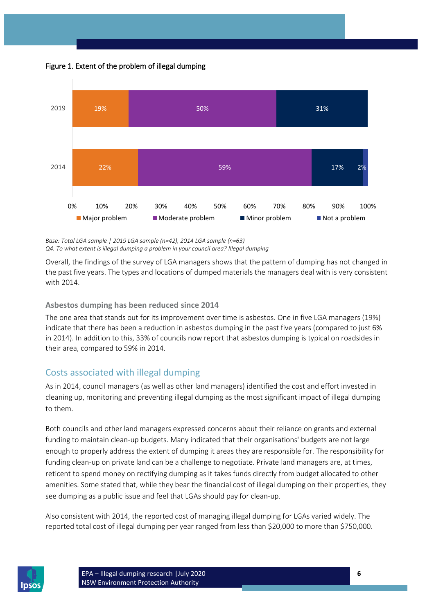



*Base: Total LGA sample | 2019 LGA sample (n=42), 2014 LGA sample (n=63) Q4. To what extent is illegal dumping a problem in your council area? Illegal dumping*

Overall, the findings of the survey of LGA managers shows that the pattern of dumping has not changed in the past five years. The types and locations of dumped materials the managers deal with is very consistent with 2014.

**Asbestos dumping has been reduced since 2014**

The one area that stands out for its improvement over time is asbestos. One in five LGA managers (19%) indicate that there has been a reduction in asbestos dumping in the past five years (compared to just 6% in 2014). In addition to this, 33% of councils now report that asbestos dumping is typical on roadsides in their area, compared to 59% in 2014.

# Costs associated with illegal dumping

As in 2014, council managers (as well as other land managers) identified the cost and effort invested in cleaning up, monitoring and preventing illegal dumping as the most significant impact of illegal dumping to them.

Both councils and other land managers expressed concerns about their reliance on grants and external funding to maintain clean-up budgets. Many indicated that their organisations' budgets are not large enough to properly address the extent of dumping it areas they are responsible for. The responsibility for funding clean-up on private land can be a challenge to negotiate. Private land managers are, at times, reticent to spend money on rectifying dumping as it takes funds directly from budget allocated to other amenities. Some stated that, while they bear the financial cost of illegal dumping on their properties, they see dumping as a public issue and feel that LGAs should pay for clean-up.

Also consistent with 2014, the reported cost of managing illegal dumping for LGAs varied widely. The reported total cost of illegal dumping per year ranged from less than \$20,000 to more than \$750,000.

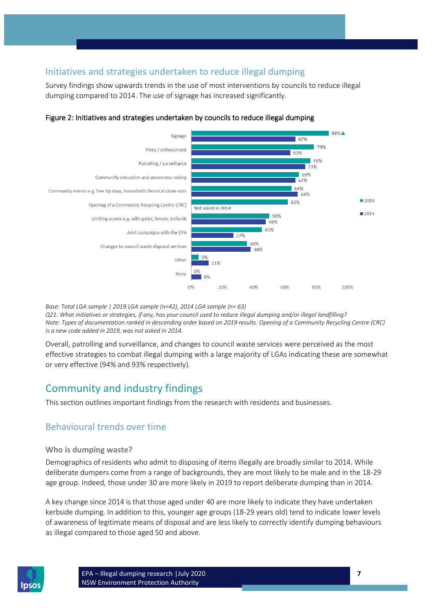# Initiatives and strategies undertaken to reduce illegal dumping

Survey findings show upwards trends in the use of most interventions by councils to reduce illegal dumping compared to 2014. The use of signage has increased significantly.



## Figure 2: Initiatives and strategies undertaken by councils to reduce illegal dumping

*Base: Total LGA sample | 2019 LGA sample (n=42), 2014 LGA sample (n= 63)*

*Q21: What initiatives or strategies, if any, has your council used to reduce illegal dumping and/or illegal landfilling? Note: Types of documentation ranked in descending order based on 2019 results. Opening of a Community Recycling Centre (CRC) is a new code added in 2019, was not asked in 2014.* 

Overall, patrolling and surveillance, and changes to council waste services were perceived as the most effective strategies to combat illegal dumping with a large majority of LGAs indicating these are somewhat or very effective (94% and 93% respectively).

# Community and industry findings

This section outlines important findings from the research with residents and businesses.

# Behavioural trends over time

## **Who is dumping waste?**

Demographics of residents who admit to disposing of items illegally are broadly similar to 2014. While deliberate dumpers come from a range of backgrounds, they are most likely to be male and in the 18-29 age group. Indeed, those under 30 are more likely in 2019 to report deliberate dumping than in 2014.

A key change since 2014 is that those aged under 40 are more likely to indicate they have undertaken kerbside dumping. In addition to this, younger age groups (18-29 years old) tend to indicate lower levels of awareness of legitimate means of disposal and are less likely to correctly identify dumping behaviours as illegal compared to those aged 50 and above.

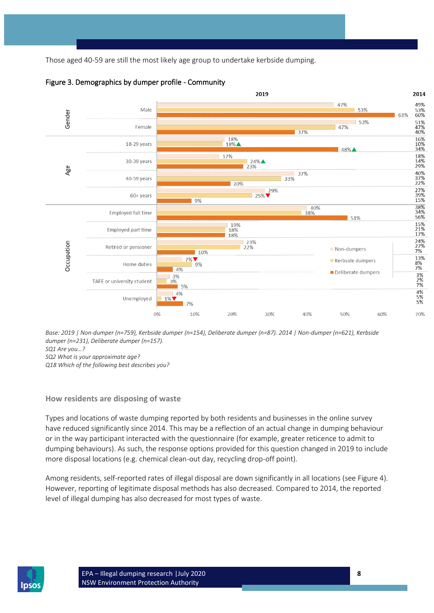Those aged 40-59 are still the most likely age group to undertake kerbside dumping.





*Base: 2019 | Non-dumper (n=759), Kerbside dumper (n=154), Deliberate dumper (n=87). 2014 | Non-dumper (n=621), Kerbside dumper (n=231), Deliberate dumper (n=157).* 

*SQ1 Are you…?*

*SQ2 What is your approximate age?* 

*Q18 Which of the following best describes you?*

## **How residents are disposing of waste**

Types and locations of waste dumping reported by both residents and businesses in the online survey have reduced significantly since 2014. This may be a reflection of an actual change in dumping behaviour or in the way participant interacted with the questionnaire (for example, greater reticence to admit to dumping behaviours). As such, the response options provided for this question changed in 2019 to include more disposal locations (e.g. chemical clean-out day, recycling drop-off point).

Among residents, self-reported rates of illegal disposal are down significantly in all locations (see [Figure 4\)](#page-8-0). However, reporting of legitimate disposal methods has also decreased. Compared to 2014, the reported level of illegal dumping has also decreased for most types of waste.

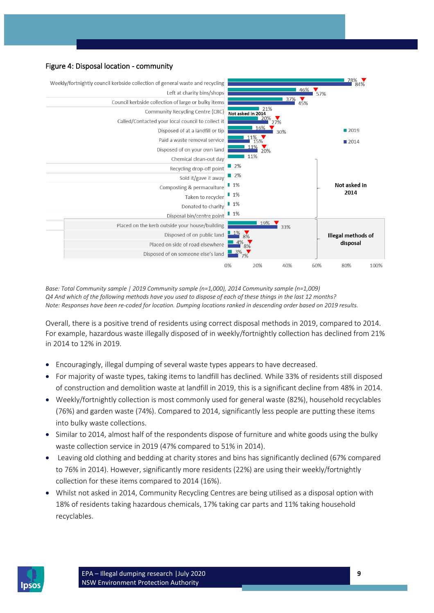## <span id="page-8-0"></span>Figure 4: Disposal location - community



*Base: Total Community sample | 2019 Community sample (n=1,000), 2014 Community sample (n=1,009) Q4 And which of the following methods have you used to dispose of each of these things in the last 12 months? Note: Responses have been re-coded for location. Dumping locations ranked in descending order based on 2019 results.*

Overall, there is a positive trend of residents using correct disposal methods in 2019, compared to 2014. For example, hazardous waste illegally disposed of in weekly/fortnightly collection has declined from 21% in 2014 to 12% in 2019.

- Encouragingly, illegal dumping of several waste types appears to have decreased.
- For majority of waste types, taking items to landfill has declined. While 33% of residents still disposed of construction and demolition waste at landfill in 2019, this is a significant decline from 48% in 2014.
- Weekly/fortnightly collection is most commonly used for general waste (82%), household recyclables (76%) and garden waste (74%). Compared to 2014, significantly less people are putting these items into bulky waste collections.
- Similar to 2014, almost half of the respondents dispose of furniture and white goods using the bulky waste collection service in 2019 (47% compared to 51% in 2014).
- Leaving old clothing and bedding at charity stores and bins has significantly declined (67% compared to 76% in 2014). However, significantly more residents (22%) are using their weekly/fortnightly collection for these items compared to 2014 (16%).
- Whilst not asked in 2014, Community Recycling Centres are being utilised as a disposal option with 18% of residents taking hazardous chemicals, 17% taking car parts and 11% taking household recyclables.

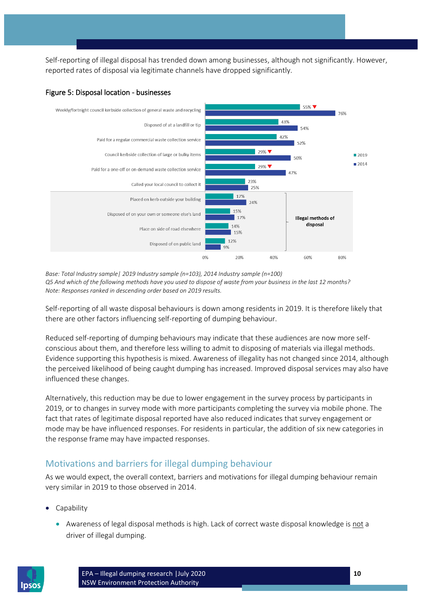Self-reporting of illegal disposal has trended down among businesses, although not significantly. However, reported rates of disposal via legitimate channels have dropped significantly.



#### Figure 5: Disposal location - businesses

*Base: Total Industry sample| 2019 Industry sample (n=103), 2014 Industry sample (n=100) Q5 And which of the following methods have you used to dispose of waste from your business in the last 12 months? Note: Responses ranked in descending order based on 2019 results.*

Self-reporting of all waste disposal behaviours is down among residents in 2019. It is therefore likely that there are other factors influencing self-reporting of dumping behaviour.

Reduced self-reporting of dumping behaviours may indicate that these audiences are now more selfconscious about them, and therefore less willing to admit to disposing of materials via illegal methods. Evidence supporting this hypothesis is mixed. Awareness of illegality has not changed since 2014, although the perceived likelihood of being caught dumping has increased. Improved disposal services may also have influenced these changes.

Alternatively, this reduction may be due to lower engagement in the survey process by participants in 2019, or to changes in survey mode with more participants completing the survey via mobile phone. The fact that rates of legitimate disposal reported have also reduced indicates that survey engagement or mode may be have influenced responses. For residents in particular, the addition of six new categories in the response frame may have impacted responses.

# Motivations and barriers for illegal dumping behaviour

As we would expect, the overall context, barriers and motivations for illegal dumping behaviour remain very similar in 2019 to those observed in 2014.

- **Capability** 
	- Awareness of legal disposal methods is high. Lack of correct waste disposal knowledge is not a driver of illegal dumping.

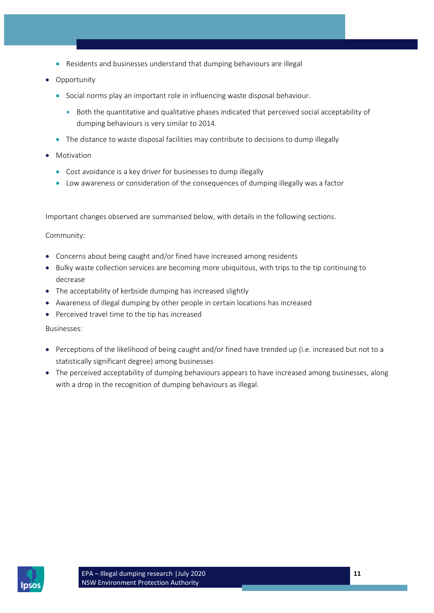- Residents and businesses understand that dumping behaviours are illegal
- Opportunity
	- Social norms play an important role in influencing waste disposal behaviour.
		- Both the quantitative and qualitative phases indicated that perceived social acceptability of dumping behaviours is very similar to 2014.
	- The distance to waste disposal facilities may contribute to decisions to dump illegally
- **Motivation** 
	- Cost avoidance is a key driver for businesses to dump illegally
	- Low awareness or consideration of the consequences of dumping illegally was a factor

Important changes observed are summarised below, with details in the following sections.

Community:

- Concerns about being caught and/or fined have increased among residents
- Bulky waste collection services are becoming more ubiquitous, with trips to the tip continuing to decrease
- The acceptability of kerbside dumping has increased slightly
- Awareness of illegal dumping by other people in certain locations has increased
- Perceived travel time to the tip has increased

Businesses:

- Perceptions of the likelihood of being caught and/or fined have trended up (i.e. increased but not to a statistically significant degree) among businesses
- The perceived acceptability of dumping behaviours appears to have increased among businesses, along with a drop in the recognition of dumping behaviours as illegal.

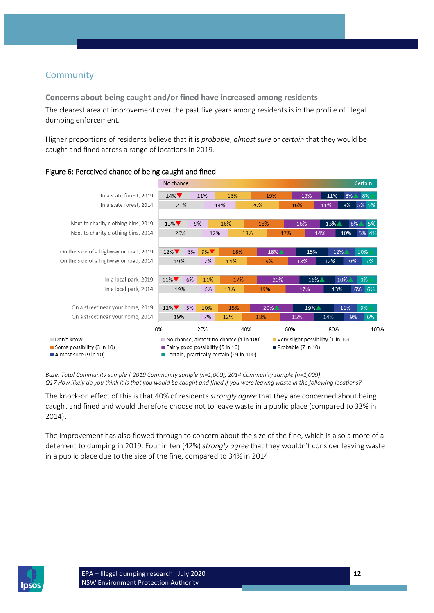# **Community**

**Concerns about being caught and/or fined have increased among residents** The clearest area of improvement over the past five years among residents is in the profile of illegal dumping enforcement.

Higher proportions of residents believe that it is *probable*, *almost sure* or *certain* that they would be caught and fined across a range of locations in 2019.



## Figure 6: Perceived chance of being caught and fined

*Base: Total Community sample | 2019 Community sample (n=1,000), 2014 Community sample (n=1,009) Q17 How likely do you think it is that you would be caught and fined if you were leaving waste in the following locations?*

The knock-on effect of this is that 40% of residents *strongly agree* that they are concerned about being caught and fined and would therefore choose not to leave waste in a public place (compared to 33% in 2014).

The improvement has also flowed through to concern about the size of the fine, which is also a more of a deterrent to dumping in 2019. Four in ten (42%) *strongly agree* that they wouldn't consider leaving waste in a public place due to the size of the fine, compared to 34% in 2014.

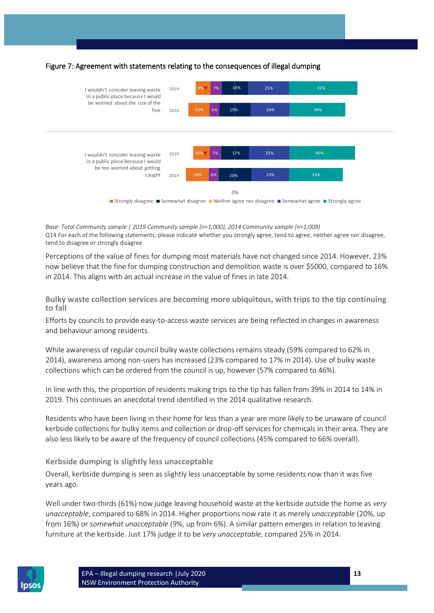

# Figure 7: Agreement with statements relating to the consequences of illegal dumping

*Base: Total Community sample | 2019 Community sample (n=1,000), 2014 Community sample (n=1,009)* Q14 For each of the following statements, please indicate whether you strongly agree, tend to agree, neither agree nor disagree, tend to disagree or strongly disagree

Perceptions of the value of fines for dumping most materials have not changed since 2014. However, 23% now believe that the fine for dumping construction and demolition waste is over \$5000, compared to 16% in 2014. This aligns with an actual increase in the value of fines in late 2014.

**Bulky waste collection services are becoming more ubiquitous, with trips to the tip continuing to fall**

Efforts by councils to provide easy-to-access waste services are being reflected in changes in awareness and behaviour among residents.

While awareness of regular council bulky waste collections remains steady (59% compared to 62% in 2014), awareness among non-users has increased (23% compared to 17% in 2014). Use of bulky waste collections which can be ordered from the council is up, however (57% compared to 46%).

In line with this, the proportion of residents making trips to the tip has fallen from 39% in 2014 to 14% in 2019. This continues an anecdotal trend identified in the 2014 qualitative research.

Residents who have been living in their home for less than a year are more likely to be unaware of council kerbside collections for bulky items and collection or drop-off services for chemicals in their area. They are also less likely to be aware of the frequency of council collections (45% compared to 66% overall).

#### **Kerbside dumping is slightly less unacceptable**

Overall, kerbside dumping is seen as slightly less unacceptable by some residents now than it was five years ago.

Well under two-thirds (61%) now judge leaving household waste at the kerbside outside the home as *very unacceptable*, compared to 68% in 2014. Higher proportions now rate it as merely *unacceptable* (20%, up from 16%) or *somewhat unacceptable* (9%, up from 6%). A similar pattern emerges in relation to leaving furniture at the kerbside. Just 17% judge it to be *very unacceptable*, compared 25% in 2014.

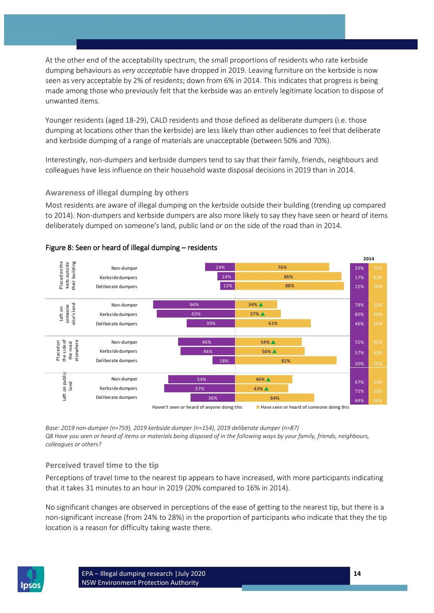At the other end of the acceptability spectrum, the small proportions of residents who rate kerbside dumping behaviours as *very acceptable* have dropped in 2019. Leaving furniture on the kerbside is now seen as very acceptable by 2% of residents; down from 6% in 2014. This indicates that progress is being made among those who previously felt that the kerbside was an entirely legitimate location to dispose of unwanted items.

Younger residents (aged 18-29), CALD residents and those defined as deliberate dumpers (i.e. those dumping at locations other than the kerbside) are less likely than other audiences to feel that deliberate and kerbside dumping of a range of materials are unacceptable (between 50% and 70%).

Interestingly, non-dumpers and kerbside dumpers tend to say that their family, friends, neighbours and colleagues have less influence on their household waste disposal decisions in 2019 than in 2014.

# **Awareness of illegal dumping by others**

Most residents are aware of illegal dumping on the kerbside outside their building (trending up compared to 2014). Non-dumpers and kerbside dumpers are also more likely to say they have seen or heard of items deliberately dumped on someone's land, public land or on the side of the road than in 2014.



## Figure 8: Seen or heard of illegal dumping – residents

*Base: 2019 non-dumper (n=759), 2019 kerbside dumper (n=154), 2019 deliberate dumper (n=87) Q8 Have you seen or heard of items or materials being disposed of in the following ways by your family, friends, neighbours, colleagues or others?*

## **Perceived travel time to the tip**

Perceptions of travel time to the nearest tip appears to have increased, with more participants indicating that it takes 31 minutes to an hour in 2019 (20% compared to 16% in 2014).

No significant changes are observed in perceptions of the ease of getting to the nearest tip, but there is a non-significant increase (from 24% to 28%) in the proportion of participants who indicate that they the tip location is a reason for difficulty taking waste there.

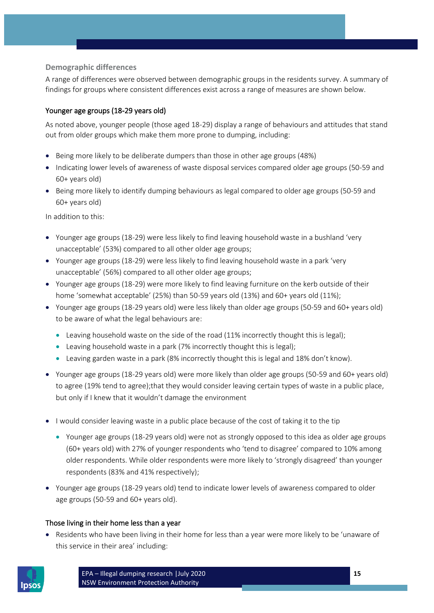# **Demographic differences**

A range of differences were observed between demographic groups in the residents survey. A summary of findings for groups where consistent differences exist across a range of measures are shown below.

# Younger age groups (18-29 years old)

As noted above, younger people (those aged 18-29) display a range of behaviours and attitudes that stand out from older groups which make them more prone to dumping, including:

- Being more likely to be deliberate dumpers than those in other age groups (48%)
- Indicating lower levels of awareness of waste disposal services compared older age groups (50-59 and 60+ years old)
- Being more likely to identify dumping behaviours as legal compared to older age groups (50-59 and 60+ years old)

In addition to this:

- Younger age groups (18-29) were less likely to find leaving household waste in a bushland 'very unacceptable' (53%) compared to all other older age groups;
- Younger age groups (18-29) were less likely to find leaving household waste in a park 'very unacceptable' (56%) compared to all other older age groups;
- Younger age groups (18-29) were more likely to find leaving furniture on the kerb outside of their home 'somewhat acceptable' (25%) than 50-59 years old (13%) and 60+ years old (11%);
- Younger age groups (18-29 years old) were less likely than older age groups (50-59 and 60+ years old) to be aware of what the legal behaviours are:
	- Leaving household waste on the side of the road (11% incorrectly thought this is legal);
	- Leaving household waste in a park (7% incorrectly thought this is legal);
	- Leaving garden waste in a park (8% incorrectly thought this is legal and 18% don't know).
- Younger age groups (18-29 years old) were more likely than older age groups (50-59 and 60+ years old) to agree (19% tend to agree);that they would consider leaving certain types of waste in a public place, but only if I knew that it wouldn't damage the environment
- I would consider leaving waste in a public place because of the cost of taking it to the tip
	- Younger age groups (18-29 years old) were not as strongly opposed to this idea as older age groups (60+ years old) with 27% of younger respondents who 'tend to disagree' compared to 10% among older respondents. While older respondents were more likely to 'strongly disagreed' than younger respondents (83% and 41% respectively);
- Younger age groups (18-29 years old) tend to indicate lower levels of awareness compared to older age groups (50-59 and 60+ years old).

## Those living in their home less than a year

• Residents who have been living in their home for less than a year were more likely to be 'unaware of this service in their area' including:

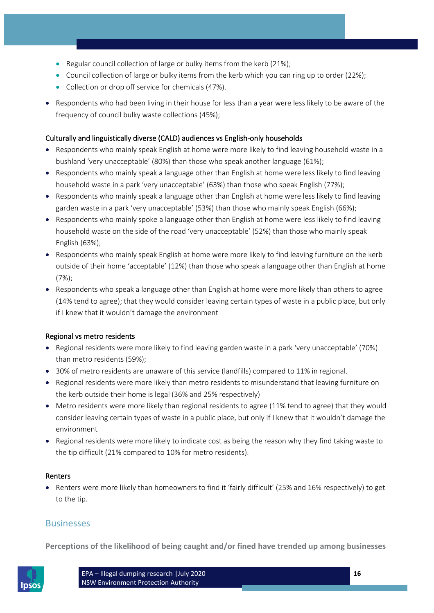- Regular council collection of large or bulky items from the kerb (21%);
- Council collection of large or bulky items from the kerb which you can ring up to order (22%);
- Collection or drop off service for chemicals (47%).
- Respondents who had been living in their house for less than a year were less likely to be aware of the frequency of council bulky waste collections (45%);

#### Culturally and linguistically diverse (CALD) audiences vs English-only households

- Respondents who mainly speak English at home were more likely to find leaving household waste in a bushland 'very unacceptable' (80%) than those who speak another language (61%);
- Respondents who mainly speak a language other than English at home were less likely to find leaving household waste in a park 'very unacceptable' (63%) than those who speak English (77%);
- Respondents who mainly speak a language other than English at home were less likely to find leaving garden waste in a park 'very unacceptable' (53%) than those who mainly speak English (66%);
- Respondents who mainly spoke a language other than English at home were less likely to find leaving household waste on the side of the road 'very unacceptable' (52%) than those who mainly speak English (63%);
- Respondents who mainly speak English at home were more likely to find leaving furniture on the kerb outside of their home 'acceptable' (12%) than those who speak a language other than English at home (7%);
- Respondents who speak a language other than English at home were more likely than others to agree (14% tend to agree); that they would consider leaving certain types of waste in a public place, but only if I knew that it wouldn't damage the environment

## Regional vs metro residents

- Regional residents were more likely to find leaving garden waste in a park 'very unacceptable' (70%) than metro residents (59%);
- 30% of metro residents are unaware of this service (landfills) compared to 11% in regional.
- Regional residents were more likely than metro residents to misunderstand that leaving furniture on the kerb outside their home is legal (36% and 25% respectively)
- Metro residents were more likely than regional residents to agree (11% tend to agree) that they would consider leaving certain types of waste in a public place, but only if I knew that it wouldn't damage the environment
- Regional residents were more likely to indicate cost as being the reason why they find taking waste to the tip difficult (21% compared to 10% for metro residents).

#### Renters

• Renters were more likely than homeowners to find it 'fairly difficult' (25% and 16% respectively) to get to the tip.

# Businesses

**Perceptions of the likelihood of being caught and/or fined have trended up among businesses**

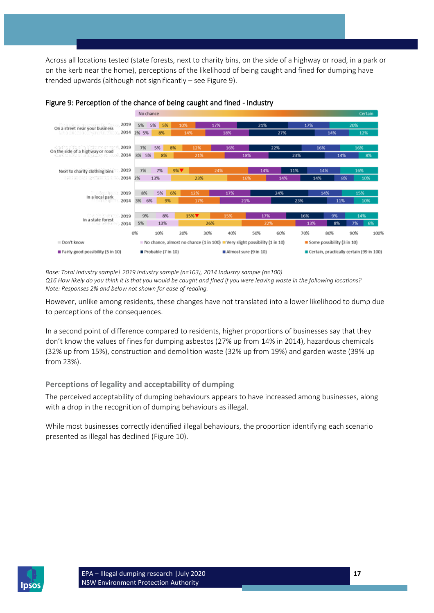Across all locations tested (state forests, next to charity bins, on the side of a highway or road, in a park or on the kerb near the home), perceptions of the likelihood of being caught and fined for dumping have trended upwards (although not significantly – se[e Figure 9\)](#page-16-0).



#### <span id="page-16-0"></span>Figure 9: Perception of the chance of being caught and fined - Industry

*Base: Total Industry sample| 2019 Industry sample (n=103), 2014 Industry sample (n=100) Q16 How likely do you think it is that you would be caught and fined if you were leaving waste in the following locations? Note: Responses 2% and below not shown for ease of reading.*

However, unlike among residents, these changes have not translated into a lower likelihood to dump due to perceptions of the consequences.

In a second point of difference compared to residents, higher proportions of businesses say that they don't know the values of fines for dumping asbestos (27% up from 14% in 2014), hazardous chemicals (32% up from 15%), construction and demolition waste (32% up from 19%) and garden waste (39% up from 23%).

## **Perceptions of legality and acceptability of dumping**

The perceived acceptability of dumping behaviours appears to have increased among businesses, along with a drop in the recognition of dumping behaviours as illegal.

While most businesses correctly identified illegal behaviours, the proportion identifying each scenario presented as illegal has declined [\(Figure 10\)](#page-17-0).

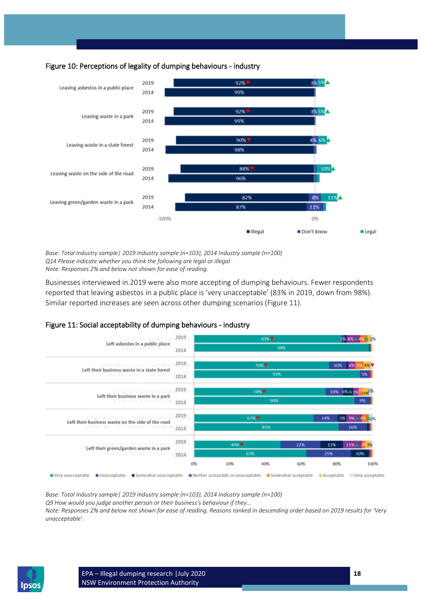<span id="page-17-0"></span>



*Base: Total Industry sample| 2019 Industry sample (n=103), 2014 Industry sample (n=100) Q14 Please indicate whether you think the following are legal or illegal Note: Responses 2% and below not shown for ease of reading.*

Businesses interviewed in 2019 were also more accepting of dumping behaviours. Fewer respondents reported that leaving asbestos in a public place is 'very unacceptable' (83% in 2019, down from 98%). Similar reported increases are seen across other dumping scenarios [\(Figure 11\)](#page-17-1).

<span id="page-17-1"></span>



*Base: Total Industry sample| 2019 Industry sample (n=103), 2014 Industry sample (n=100)*

*Q9 How would you judge another person or their business's behaviour if they…*

*Note: Responses 2% and below not shown for ease of reading. Reasons ranked in descending order based on 2019 results for 'Very unacceptable'.*

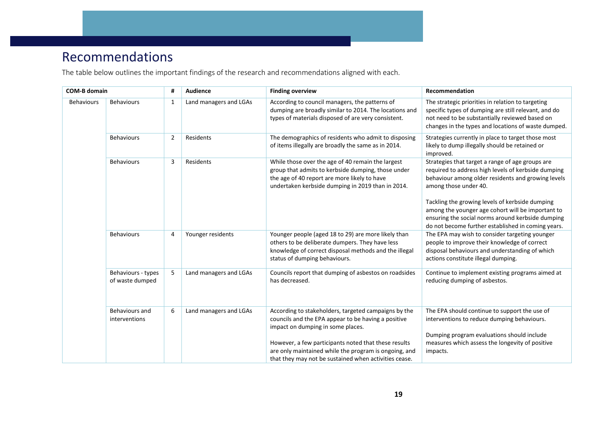# Recommendations

The table below outlines the important findings of the research and recommendations aligned with each.

<span id="page-18-0"></span>

| <b>COM-B domain</b> | Audience<br>#                                                                                                                                                                         |                |                                                                                                                                                              | <b>Finding overview</b>                                                                                                                                                                                                                                                                                                    | Recommendation                                                                                                                                                                                                                            |  |  |  |  |  |
|---------------------|---------------------------------------------------------------------------------------------------------------------------------------------------------------------------------------|----------------|--------------------------------------------------------------------------------------------------------------------------------------------------------------|----------------------------------------------------------------------------------------------------------------------------------------------------------------------------------------------------------------------------------------------------------------------------------------------------------------------------|-------------------------------------------------------------------------------------------------------------------------------------------------------------------------------------------------------------------------------------------|--|--|--|--|--|
| <b>Behaviours</b>   | <b>Behaviours</b>                                                                                                                                                                     | 1              | Land managers and LGAs                                                                                                                                       | According to council managers, the patterns of<br>dumping are broadly similar to 2014. The locations and<br>types of materials disposed of are very consistent.                                                                                                                                                            | The strategic priorities in relation to targeting<br>specific types of dumping are still relevant, and do<br>not need to be substantially reviewed based on<br>changes in the types and locations of waste dumped.                        |  |  |  |  |  |
|                     | <b>Behaviours</b>                                                                                                                                                                     | $\overline{2}$ | Residents                                                                                                                                                    | The demographics of residents who admit to disposing<br>of items illegally are broadly the same as in 2014.                                                                                                                                                                                                                | Strategies currently in place to target those most<br>likely to dump illegally should be retained or<br>improved.                                                                                                                         |  |  |  |  |  |
|                     | <b>Behaviours</b>                                                                                                                                                                     | 3              | Residents                                                                                                                                                    | While those over the age of 40 remain the largest<br>group that admits to kerbside dumping, those under<br>the age of 40 report are more likely to have<br>undertaken kerbside dumping in 2019 than in 2014.                                                                                                               | Strategies that target a range of age groups are<br>required to address high levels of kerbside dumping<br>behaviour among older residents and growing levels<br>among those under 40.<br>Tackling the growing levels of kerbside dumping |  |  |  |  |  |
|                     | Younger residents<br><b>Behaviours</b><br>4<br>5<br>Land managers and LGAs<br>Behaviours - types<br>of waste dumped<br>6<br>Land managers and LGAs<br>Behaviours and<br>interventions |                | among the younger age cohort will be important to<br>ensuring the social norms around kerbside dumping<br>do not become further established in coming years. |                                                                                                                                                                                                                                                                                                                            |                                                                                                                                                                                                                                           |  |  |  |  |  |
|                     |                                                                                                                                                                                       |                |                                                                                                                                                              | Younger people (aged 18 to 29) are more likely than<br>others to be deliberate dumpers. They have less<br>knowledge of correct disposal methods and the illegal<br>status of dumping behaviours.                                                                                                                           | The EPA may wish to consider targeting younger<br>people to improve their knowledge of correct<br>disposal behaviours and understanding of which<br>actions constitute illegal dumping.                                                   |  |  |  |  |  |
|                     |                                                                                                                                                                                       |                |                                                                                                                                                              | Councils report that dumping of asbestos on roadsides<br>has decreased.                                                                                                                                                                                                                                                    | Continue to implement existing programs aimed at<br>reducing dumping of asbestos.                                                                                                                                                         |  |  |  |  |  |
|                     |                                                                                                                                                                                       |                |                                                                                                                                                              | According to stakeholders, targeted campaigns by the<br>councils and the EPA appear to be having a positive<br>impact on dumping in some places.<br>However, a few participants noted that these results<br>are only maintained while the program is ongoing, and<br>that they may not be sustained when activities cease. | The EPA should continue to support the use of<br>interventions to reduce dumping behaviours.<br>Dumping program evaluations should include<br>measures which assess the longevity of positive<br>impacts.                                 |  |  |  |  |  |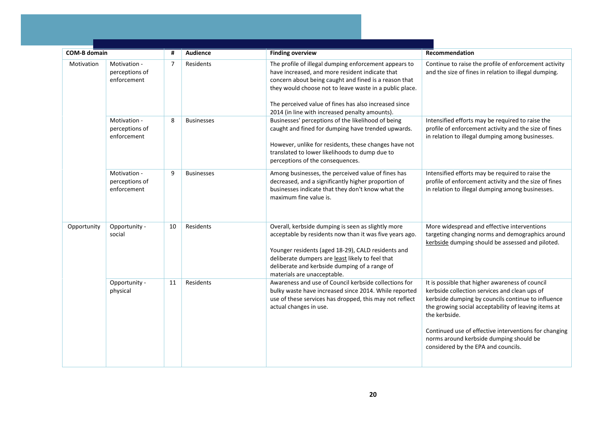|            |                                                                                                                                                             |                | <b>Audience</b>   |                                                                                                                                                                                                                                                                                                                                         | Recommendation                                                                                                                                                                                                                                                                                                                                                             |
|------------|-------------------------------------------------------------------------------------------------------------------------------------------------------------|----------------|-------------------|-----------------------------------------------------------------------------------------------------------------------------------------------------------------------------------------------------------------------------------------------------------------------------------------------------------------------------------------|----------------------------------------------------------------------------------------------------------------------------------------------------------------------------------------------------------------------------------------------------------------------------------------------------------------------------------------------------------------------------|
|            |                                                                                                                                                             | Ħ              |                   | <b>Finding overview</b>                                                                                                                                                                                                                                                                                                                 |                                                                                                                                                                                                                                                                                                                                                                            |
| Motivation | perceptions of<br>enforcement                                                                                                                               | $\overline{7}$ | Residents         | The profile of illegal dumping enforcement appears to<br>have increased, and more resident indicate that<br>concern about being caught and fined is a reason that<br>they would choose not to leave waste in a public place.<br>The perceived value of fines has also increased since<br>2014 (in line with increased penalty amounts). | Continue to raise the profile of enforcement activity<br>and the size of fines in relation to illegal dumping.                                                                                                                                                                                                                                                             |
|            | Motivation -<br>perceptions of<br>enforcement                                                                                                               | 8              | <b>Businesses</b> | Businesses' perceptions of the likelihood of being<br>caught and fined for dumping have trended upwards.<br>However, unlike for residents, these changes have not<br>translated to lower likelihoods to dump due to<br>perceptions of the consequences.                                                                                 | Intensified efforts may be required to raise the<br>profile of enforcement activity and the size of fines<br>in relation to illegal dumping among businesses.                                                                                                                                                                                                              |
|            | <b>COM-B domain</b><br>Motivation -<br>Motivation -<br>perceptions of<br>enforcement<br>Opportunity<br>Opportunity -<br>social<br>Opportunity -<br>physical | 9              | <b>Businesses</b> | Among businesses, the perceived value of fines has<br>decreased, and a significantly higher proportion of<br>businesses indicate that they don't know what the<br>maximum fine value is.                                                                                                                                                | Intensified efforts may be required to raise the<br>profile of enforcement activity and the size of fines<br>in relation to illegal dumping among businesses.                                                                                                                                                                                                              |
|            |                                                                                                                                                             | 10             | Residents         | Overall, kerbside dumping is seen as slightly more<br>acceptable by residents now than it was five years ago.<br>Younger residents (aged 18-29), CALD residents and<br>deliberate dumpers are least likely to feel that<br>deliberate and kerbside dumping of a range of<br>materials are unacceptable.                                 | More widespread and effective interventions<br>targeting changing norms and demographics around<br>kerbside dumping should be assessed and piloted.                                                                                                                                                                                                                        |
|            |                                                                                                                                                             | 11             | Residents         | Awareness and use of Council kerbside collections for<br>bulky waste have increased since 2014. While reported<br>use of these services has dropped, this may not reflect<br>actual changes in use.                                                                                                                                     | It is possible that higher awareness of council<br>kerbside collection services and clean ups of<br>kerbside dumping by councils continue to influence<br>the growing social acceptability of leaving items at<br>the kerbside.<br>Continued use of effective interventions for changing<br>norms around kerbside dumping should be<br>considered by the EPA and councils. |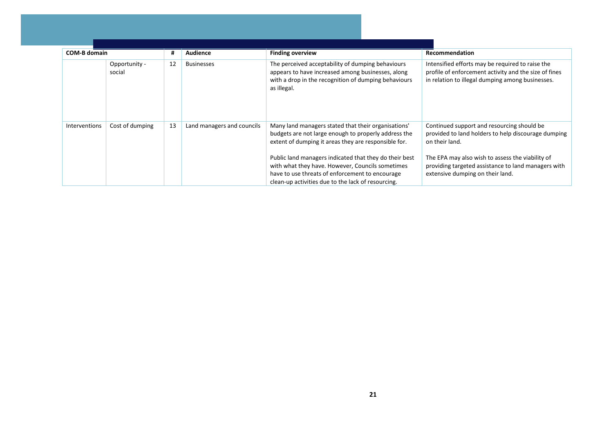| <b>COM-B domain</b>  |                                                                                                           | # | Audience | <b>Finding overview</b>                                                                                                                                                                                                                                                                                                                                                                    | Recommendation                                                                                                                                                                                                                                                     |  |  |  |  |
|----------------------|-----------------------------------------------------------------------------------------------------------|---|----------|--------------------------------------------------------------------------------------------------------------------------------------------------------------------------------------------------------------------------------------------------------------------------------------------------------------------------------------------------------------------------------------------|--------------------------------------------------------------------------------------------------------------------------------------------------------------------------------------------------------------------------------------------------------------------|--|--|--|--|
|                      | 12<br>Opportunity -<br><b>Businesses</b><br>social<br>13<br>Cost of dumping<br>Land managers and councils |   |          | The perceived acceptability of dumping behaviours<br>appears to have increased among businesses, along<br>with a drop in the recognition of dumping behaviours<br>as illegal.                                                                                                                                                                                                              | Intensified efforts may be required to raise the<br>profile of enforcement activity and the size of fines<br>in relation to illegal dumping among businesses.                                                                                                      |  |  |  |  |
| <b>Interventions</b> |                                                                                                           |   |          | Many land managers stated that their organisations'<br>budgets are not large enough to properly address the<br>extent of dumping it areas they are responsible for.<br>Public land managers indicated that they do their best<br>with what they have. However, Councils sometimes<br>have to use threats of enforcement to encourage<br>clean-up activities due to the lack of resourcing. | Continued support and resourcing should be<br>provided to land holders to help discourage dumping<br>on their land.<br>The EPA may also wish to assess the viability of<br>providing targeted assistance to land managers with<br>extensive dumping on their land. |  |  |  |  |